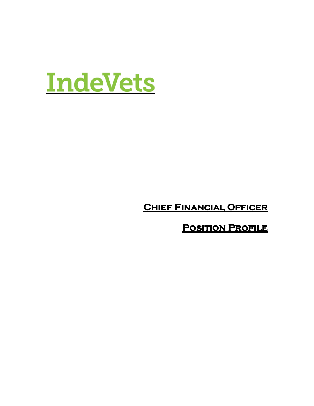

**Chief Financial Officer** 

**Position Profile**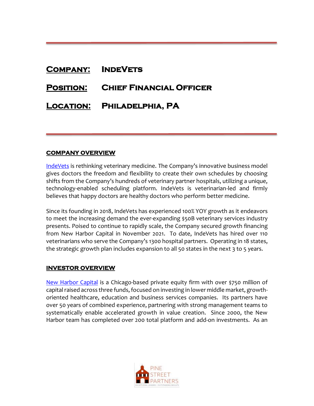# **Company: IndeVets**

# **Position: Chief Financial Officer**

## **Location: Philadelphia, PA**

#### **COMPANY OVERVIEW**

[IndeVets](https://indevets.com/) is rethinking veterinary medicine. The Company's innovative business model gives doctors the freedom and flexibility to create their own schedules by choosing shifts from the Company's hundreds of veterinary partner hospitals, utilizing a unique, technology-enabled scheduling platform. IndeVets is veterinarian-led and firmly believes that happy doctors are healthy doctors who perform better medicine.

Since its founding in 2018, IndeVets has experienced 100% YOY growth as it endeavors to meet the increasing demand the ever-expanding \$50B veterinary services industry presents. Poised to continue to rapidly scale, the Company secured growth financing from New Harbor Capital in November 2021. To date, IndeVets has hired over 110 veterinarians who serve the Company's 1300 hospital partners. Operating in 18 states, the strategic growth plan includes expansion to all 50 states in the next 3 to 5 years.

### **INVESTOR OVERVIEW**

[New Harbor Capital](http://www.newharborcap.com/) is a Chicago-based private equity firm with over \$750 million of capital raised across three funds, focused on investing in lower middle market, growthoriented healthcare, education and business services companies. Its partners have over 50 years of combined experience, partnering with strong management teams to systematically enable accelerated growth in value creation. Since 2000, the New Harbor team has completed over 200 total platform and add-on investments. As an

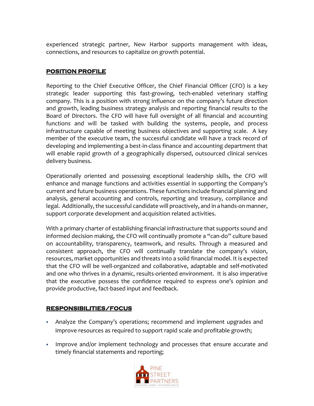experienced strategic partner, New Harbor supports management with ideas, connections, and resources to capitalize on growth potential.

## **POSITION PROFILE**

Reporting to the Chief Executive Officer, the Chief Financial Officer (CFO) is a key strategic leader supporting this fast-growing, tech-enabled veterinary staffing company. This is a position with strong influence on the company's future direction and growth, leading business strategy analysis and reporting financial results to the Board of Directors. The CFO will have full oversight of all financial and accounting functions and will be tasked with building the systems, people, and process infrastructure capable of meeting business objectives and supporting scale. A key member of the executive team, the successful candidate will have a track record of developing and implementing a best-in-class finance and accounting department that will enable rapid growth of a geographically dispersed, outsourced clinical services delivery business.

Operationally oriented and possessing exceptional leadership skills, the CFO will enhance and manage functions and activities essential in supporting the Company's current and future business operations. These functions include financial planning and analysis, general accounting and controls, reporting and treasury, compliance and legal. Additionally, the successful candidate will proactively, and in a hands-on manner, support corporate development and acquisition related activities.

With a primary charter of establishing financial infrastructure that supports sound and informed decision making, the CFO will continually promote a "can-do" culture based on accountability, transparency, teamwork, and results. Through a measured and consistent approach, the CFO will continually translate the company's vision, resources, market opportunities and threats into a solid financial model. It is expected that the CFO will be well-organized and collaborative, adaptable and self-motivated and one who thrives in a dynamic, results-oriented environment. It is also imperative that the executive possess the confidence required to express one's opinion and provide productive, fact-based input and feedback.

### **RESPONSIBILITIES/FOCUS**

- Analyze the Company's operations; recommend and implement upgrades and improve resources as required to support rapid scale and profitable growth;
- Improve and/or implement technology and processes that ensure accurate and timely financial statements and reporting;

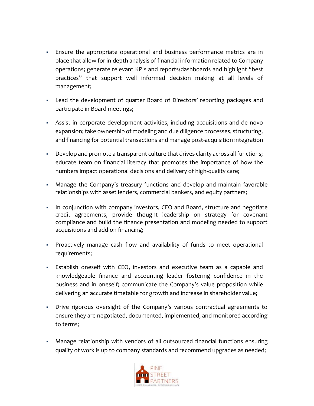- **Ensure the appropriate operational and business performance metrics are in** place that allow for in-depth analysis of financial information related to Company operations; generate relevant KPIs and reports/dashboards and highlight "best practices" that support well informed decision making at all levels of management;
- Lead the development of quarter Board of Directors' reporting packages and participate in Board meetings;
- **EXECT** Assist in corporate development activities, including acquisitions and de novo expansion; take ownership of modeling and due diligence processes, structuring, and financing for potential transactions and manage post-acquisition integration
- Develop and promote a transparent culture that drives clarity across all functions; educate team on financial literacy that promotes the importance of how the numbers impact operational decisions and delivery of high-quality care;
- Manage the Company's treasury functions and develop and maintain favorable relationships with asset lenders, commercial bankers, and equity partners;
- **•** In conjunction with company investors, CEO and Board, structure and negotiate credit agreements, provide thought leadership on strategy for covenant compliance and build the finance presentation and modeling needed to support acquisitions and add-on financing;
- **•** Proactively manage cash flow and availability of funds to meet operational requirements;
- **Establish oneself with CEO, investors and executive team as a capable and** knowledgeable finance and accounting leader fostering confidence in the business and in oneself; communicate the Company's value proposition while delivering an accurate timetable for growth and increase in shareholder value;
- Drive rigorous oversight of the Company's various contractual agreements to ensure they are negotiated, documented, implemented, and monitored according to terms;
- Manage relationship with vendors of all outsourced financial functions ensuring quality of work is up to company standards and recommend upgrades as needed;

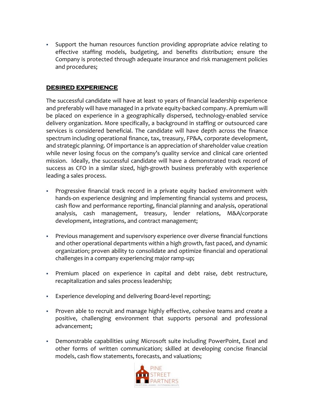▪ Support the human resources function providing appropriate advice relating to effective staffing models, budgeting, and benefits distribution; ensure the Company is protected through adequate insurance and risk management policies and procedures;

#### **DESIRED EXPERIENCE**  I

The successful candidate will have at least 10 years of financial leadership experience and preferably will have managed in a private equity-backed company. A premium will be placed on experience in a geographically dispersed, technology-enabled service delivery organization. More specifically, a background in staffing or outsourced care services is considered beneficial. The candidate will have depth across the finance spectrum including operational finance, tax, treasury, FP&A, corporate development, and strategic planning. Of importance is an appreciation of shareholder value creation while never losing focus on the company's quality service and clinical care oriented mission. Ideally, the successful candidate will have a demonstrated track record of success as CFO in a similar sized, high-growth business preferably with experience leading a sales process.

- Progressive financial track record in a private equity backed environment with hands-on experience designing and implementing financial systems and process, cash flow and performance reporting, financial planning and analysis, operational analysis, cash management, treasury, lender relations, M&A/corporate development, integrations, and contract management;
- Previous management and supervisory experience over diverse financial functions and other operational departments within a high growth, fast paced, and dynamic organization; proven ability to consolidate and optimize financial and operational challenges in a company experiencing major ramp-up;
- · Premium placed on experience in capital and debt raise, debt restructure, recapitalization and sales process leadership;
- Experience developing and delivering Board-level reporting;
- Proven able to recruit and manage highly effective, cohesive teams and create a positive, challenging environment that supports personal and professional advancement;
- Demonstrable capabilities using Microsoft suite including PowerPoint, Excel and other forms of written communication; skilled at developing concise financial models, cash flow statements, forecasts, and valuations;

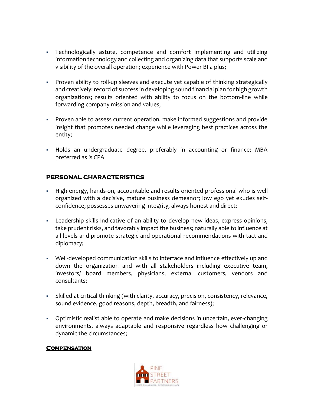- Technologically astute, competence and comfort implementing and utilizing information technology and collecting and organizing data that supports scale and visibility of the overall operation; experience with Power BI a plus;
- Proven ability to roll-up sleeves and execute yet capable of thinking strategically and creatively; record of success in developing sound financial plan for high growth organizations; results oriented with ability to focus on the bottom-line while forwarding company mission and values;
- Proven able to assess current operation, make informed suggestions and provide insight that promotes needed change while leveraging best practices across the entity;
- Holds an undergraduate degree, preferably in accounting or finance; MBA preferred as is CPA

## **PERSONAL CHARACTERISTICS**

- High-energy, hands-on, accountable and results-oriented professional who is well organized with a decisive, mature business demeanor; low ego yet exudes selfconfidence; possesses unwavering integrity, always honest and direct;
- Leadership skills indicative of an ability to develop new ideas, express opinions, take prudent risks, and favorably impact the business; naturally able to influence at all levels and promote strategic and operational recommendations with tact and diplomacy;
- Well-developed communication skills to interface and influence effectively up and down the organization and with all stakeholders including executive team, investors/ board members, physicians, external customers, vendors and consultants;
- Skilled at critical thinking (with clarity, accuracy, precision, consistency, relevance, sound evidence, good reasons, depth, breadth, and fairness);
- Optimistic realist able to operate and make decisions in uncertain, ever-changing environments, always adaptable and responsive regardless how challenging or dynamic the circumstances;

### **Compensation**